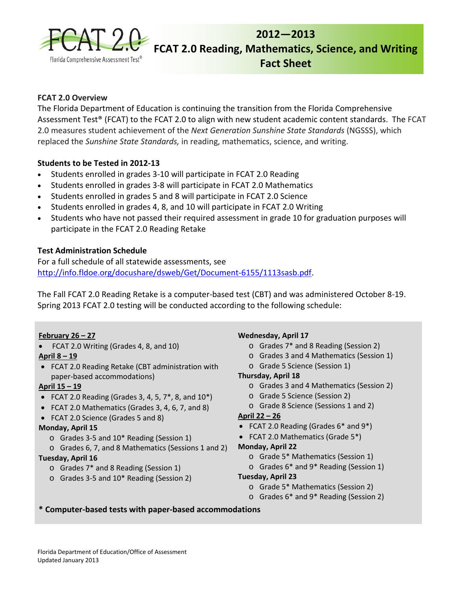

# **2012―2013 FCAT 2.0 Reading, Mathematics, Science, and Writing Fact Sheet**

# **FCAT 2.0 Overview**

The Florida Department of Education is continuing the transition from the Florida Comprehensive Assessment Test® (FCAT) to the FCAT 2.0 to align with new student academic content standards. The FCAT 2.0 measures student achievement of the *Next Generation Sunshine State Standards* (NGSSS), which replaced the *Sunshine State Standards,* in reading, mathematics, science, and writing.

# **Students to be Tested in 2012-13**

- Students enrolled in grades 3-10 will participate in FCAT 2.0 Reading
- Students enrolled in grades 3-8 will participate in FCAT 2.0 Mathematics
- Students enrolled in grades 5 and 8 will participate in FCAT 2.0 Science
- Students enrolled in grades 4, 8, and 10 will participate in FCAT 2.0 Writing
- Students who have not passed their required assessment in grade 10 for graduation purposes will participate in the FCAT 2.0 Reading Retake

# **Test Administration Schedule**

For a full schedule of all statewide assessments, see <http://info.fldoe.org/docushare/dsweb/Get/Document-6155/1113sasb.pdf>.

The Fall FCAT 2.0 Reading Retake is a computer-based test (CBT) and was administered October 8-19. Spring 2013 FCAT 2.0 testing will be conducted according to the following schedule:

# **February 26 – 27**

• FCAT 2.0 Writing (Grades 4, 8, and 10)

# **April 8 – 19**

• FCAT 2.0 Reading Retake (CBT administration with paper-based accommodations)

# **April 15 – 19**

- FCAT 2.0 Reading (Grades 3, 4, 5,  $7^*$ , 8, and  $10^*$ )
- FCAT 2.0 Mathematics (Grades 3, 4, 6, 7, and 8)
- FCAT 2.0 Science (Grades 5 and 8)

# **Monday, April 15**

- o Grades 3-5 and 10\* Reading (Session 1)
- o Grades 6, 7, and 8 Mathematics (Sessions 1 and 2)

#### **Tuesday, April 16**

- o Grades 7\* and 8 Reading (Session 1)
- o Grades 3-5 and 10\* Reading (Session 2)

#### **Wednesday, April 17**

- o Grades 7\* and 8 Reading (Session 2)
- o Grades 3 and 4 Mathematics (Session 1)
- o Grade 5 Science (Session 1)

# **Thursday, April 18**

- o Grades 3 and 4 Mathematics (Session 2)
- o Grade 5 Science (Session 2)
- o Grade 8 Science (Sessions 1 and 2)

# **April 22 – 26**

- FCAT 2.0 Reading (Grades 6\* and 9\*)
- FCAT 2.0 Mathematics (Grade 5\*)

#### **Monday, April 22**

- o Grade 5\* Mathematics (Session 1)
- o Grades 6\* and 9\* Reading (Session 1)

#### **Tuesday, April 23**

- o Grade 5\* Mathematics (Session 2)
- o Grades 6\* and 9\* Reading (Session 2)

# **\* Computer-based tests with paper-based accommodations**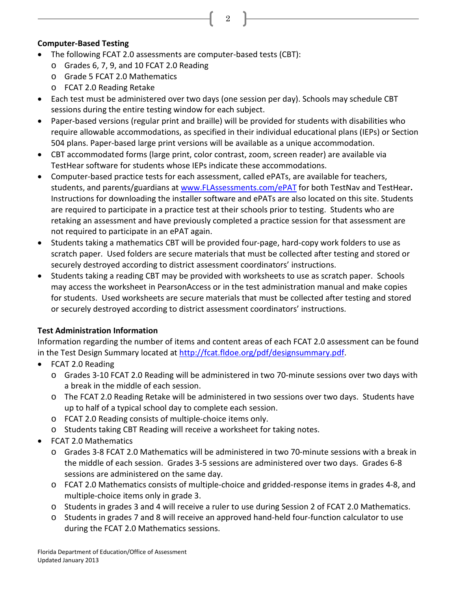# **Computer-Based Testing**

- The following FCAT 2.0 assessments are computer-based tests (CBT):
	- o Grades 6, 7, 9, and 10 FCAT 2.0 Reading
	- o Grade 5 FCAT 2.0 Mathematics
	- o FCAT 2.0 Reading Retake
- Each test must be administered over two days (one session per day). Schools may schedule CBT sessions during the entire testing window for each subject.
- Paper-based versions (regular print and braille) will be provided for students with disabilities who require allowable accommodations, as specified in their individual educational plans (IEPs) or Section 504 plans. Paper-based large print versions will be available as a unique accommodation.

2

- CBT accommodated forms (large print, color contrast, zoom, screen reader) are available via TestHear software for students whose IEPs indicate these accommodations.
- Computer-based practice tests for each assessment, called ePATs, are available for teachers, students, and parents/guardians at [www.FLAssessments.com/ePAT](http://www.flassessments.com/ePAT) for both TestNav and TestHear**.** Instructions for downloading the installer software and ePATs are also located on this site. Students are required to participate in a practice test at their schools prior to testing. Students who are retaking an assessment and have previously completed a practice session for that assessment are not required to participate in an ePAT again.
- Students taking a mathematics CBT will be provided four-page, hard-copy work folders to use as scratch paper. Used folders are secure materials that must be collected after testing and stored or securely destroyed according to district assessment coordinators' instructions.
- Students taking a reading CBT may be provided with worksheets to use as scratch paper. Schools may access the worksheet in PearsonAccess or in the test administration manual and make copies for students. Used worksheets are secure materials that must be collected after testing and stored or securely destroyed according to district assessment coordinators' instructions.

# **Test Administration Information**

Information regarding the number of items and content areas of each FCAT 2.0 assessment can be found in the Test Design Summary located at [http://fcat.fldoe.org/pdf/designsummary.pdf.](http://fcat.fldoe.org/pdf/designsummary.pdf)

- FCAT 2.0 Reading
	- o Grades 3-10 FCAT 2.0 Reading will be administered in two 70-minute sessions over two days with a break in the middle of each session.
	- o The FCAT 2.0 Reading Retake will be administered in two sessions over two days. Students have up to half of a typical school day to complete each session.
	- o FCAT 2.0 Reading consists of multiple-choice items only.
	- o Students taking CBT Reading will receive a worksheet for taking notes.
- FCAT 2.0 Mathematics
	- o Grades 3-8 FCAT 2.0 Mathematics will be administered in two 70-minute sessions with a break in the middle of each session. Grades 3-5 sessions are administered over two days. Grades 6-8 sessions are administered on the same day.
	- o FCAT 2.0 Mathematics consists of multiple-choice and gridded-response items in grades 4-8, and multiple-choice items only in grade 3.
	- o Students in grades 3 and 4 will receive a ruler to use during Session 2 of FCAT 2.0 Mathematics.
	- o Students in grades 7 and 8 will receive an approved hand-held four-function calculator to use during the FCAT 2.0 Mathematics sessions.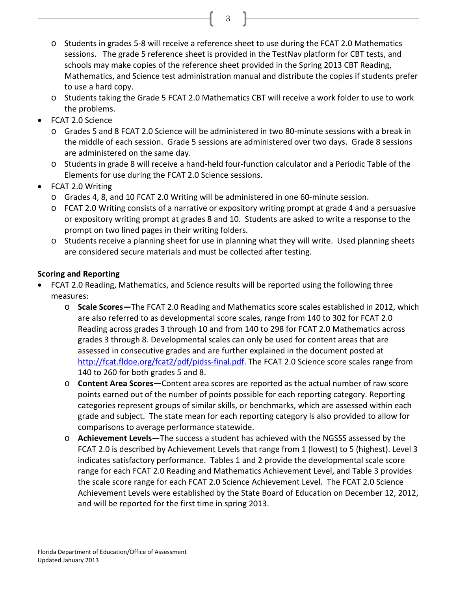o Students in grades 5-8 will receive a reference sheet to use during the FCAT 2.0 Mathematics sessions. The grade 5 reference sheet is provided in the TestNav platform for CBT tests, and schools may make copies of the reference sheet provided in the Spring 2013 CBT Reading, Mathematics, and Science test administration manual and distribute the copies if students prefer to use a hard copy.

3

- o Students taking the Grade 5 FCAT 2.0 Mathematics CBT will receive a work folder to use to work the problems.
- FCAT 2.0 Science
	- o Grades 5 and 8 FCAT 2.0 Science will be administered in two 80-minute sessions with a break in the middle of each session. Grade 5 sessions are administered over two days. Grade 8 sessions are administered on the same day.
	- o Students in grade 8 will receive a hand-held four-function calculator and a Periodic Table of the Elements for use during the FCAT 2.0 Science sessions.
- FCAT 2.0 Writing
	- o Grades 4, 8, and 10 FCAT 2.0 Writing will be administered in one 60-minute session.
	- o FCAT 2.0 Writing consists of a narrative or expository writing prompt at grade 4 and a persuasive or expository writing prompt at grades 8 and 10. Students are asked to write a response to the prompt on two lined pages in their writing folders.
	- o Students receive a planning sheet for use in planning what they will write. Used planning sheets are considered secure materials and must be collected after testing.

# **Scoring and Reporting**

- FCAT 2.0 Reading, Mathematics, and Science results will be reported using the following three measures:
	- o **Scale Scores—**The FCAT 2.0 Reading and Mathematics score scales established in 2012, which are also referred to as developmental score scales, range from 140 to 302 for FCAT 2.0 Reading across grades 3 through 10 and from 140 to 298 for FCAT 2.0 Mathematics across grades 3 through 8. Developmental scales can only be used for content areas that are assessed in consecutive grades and are further explained in the document posted at [http://fcat.fldoe.org/fcat2/pdf/pidss-final.pdf.](http://fcat.fldoe.org/fcat2/pdf/pidss-final.pdf) The FCAT 2.0 Science score scales range from 140 to 260 for both grades 5 and 8.
	- o **Content Area Scores―**Content area scores are reported as the actual number of raw score points earned out of the number of points possible for each reporting category. Reporting categories represent groups of similar skills, or benchmarks, which are assessed within each grade and subject. The state mean for each reporting category is also provided to allow for comparisons to average performance statewide.
	- o **Achievement Levels―**The success a student has achieved with the NGSSS assessed by the FCAT 2.0 is described by Achievement Levels that range from 1 (lowest) to 5 (highest). Level 3 indicates satisfactory performance. Tables 1 and 2 provide the developmental scale score range for each FCAT 2.0 Reading and Mathematics Achievement Level, and Table 3 provides the scale score range for each FCAT 2.0 Science Achievement Level. The FCAT 2.0 Science Achievement Levels were established by the State Board of Education on December 12, 2012, and will be reported for the first time in spring 2013.